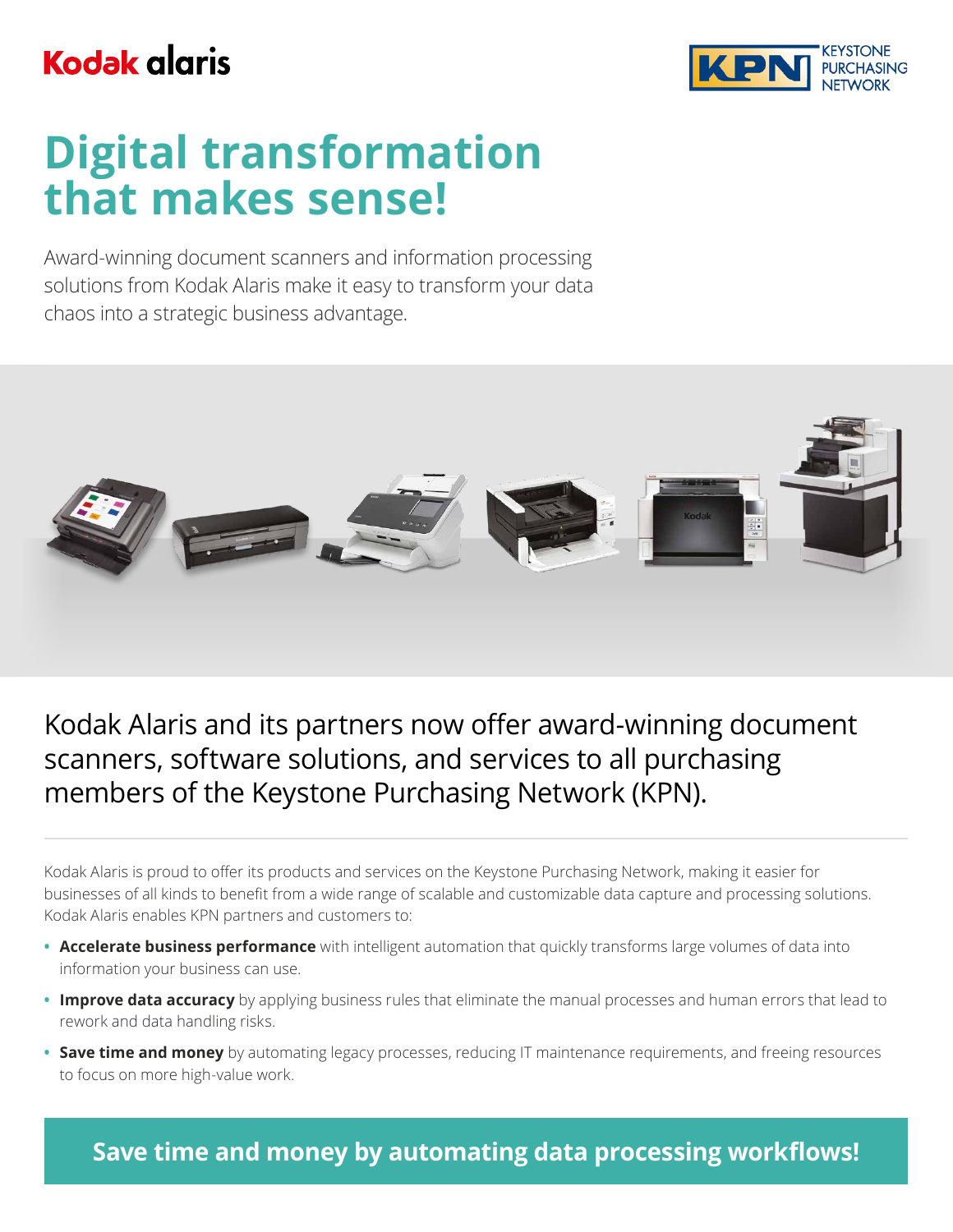## **Kodak glaris**



# **Digital transformation that makes sense!**

Award-winning document scanners and information processing solutions from Kodak Alaris make it easy to transform your data chaos into a strategic business advantage.



### Kodak Alaris and its partners now offer award-winning document scanners, software solutions, and services to all purchasing members of the Keystone Purchasing Network (KPN).

Kodak Alaris is proud to offer its products and services on the Keystone Purchasing Network, making it easier for businesses of all kinds to benefit from a wide range of scalable and customizable data capture and processing solutions. Kodak Alaris enables KPN partners and customers to:

- **• Accelerate business performance** with intelligent automation that quickly transforms large volumes of data into information your business can use.
- **• Improve data accuracy** by applying business rules that eliminate the manual processes and human errors that lead to rework and data handling risks.
- **• Save time and money** by automating legacy processes, reducing IT maintenance requirements, and freeing resources to focus on more high-value work.

**Save time and money by automating data processing workflows!**